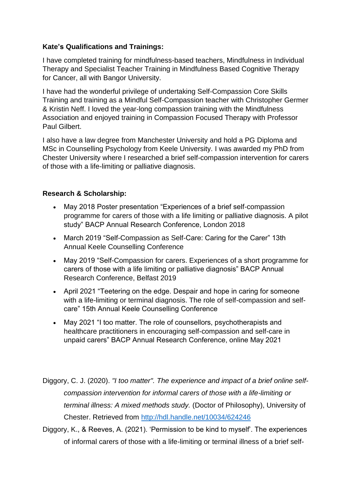## **Kate's Qualifications and Trainings:**

I have completed training for mindfulness-based teachers, Mindfulness in Individual Therapy and Specialist Teacher Training in Mindfulness Based Cognitive Therapy for Cancer, all with Bangor University.

I have had the wonderful privilege of undertaking Self-Compassion Core Skills Training and training as a Mindful Self-Compassion teacher with Christopher Germer & Kristin Neff. I loved the year-long compassion training with the Mindfulness Association and enjoyed training in Compassion Focused Therapy with Professor Paul Gilbert.

I also have a law degree from Manchester University and hold a PG Diploma and MSc in Counselling Psychology from Keele University. I was awarded my PhD from Chester University where I researched a brief self-compassion intervention for carers of those with a life-limiting or palliative diagnosis.

## **Research & Scholarship:**

- May 2018 Poster presentation "Experiences of a brief self-compassion programme for carers of those with a life limiting or palliative diagnosis. A pilot study" BACP Annual Research Conference, London 2018
- March 2019 "Self-Compassion as Self-Care: Caring for the Carer" 13th Annual Keele Counselling Conference
- May 2019 "Self-Compassion for carers. Experiences of a short programme for carers of those with a life limiting or palliative diagnosis" BACP Annual Research Conference, Belfast 2019
- April 2021 "Teetering on the edge. Despair and hope in caring for someone with a life-limiting or terminal diagnosis. The role of self-compassion and selfcare" 15th Annual Keele Counselling Conference
- May 2021 "I too matter. The role of counsellors, psychotherapists and healthcare practitioners in encouraging self-compassion and self-care in unpaid carers" BACP Annual Research Conference, online May 2021

Diggory, C. J. (2020). *"I too matter". The experience and impact of a brief online selfcompassion intervention for informal carers of those with a life-limiting or terminal illness: A mixed methods study.* (Doctor of Philosophy), University of Chester. Retrieved from<http://hdl.handle.net/10034/624246>

Diggory, K., & Reeves, A. (2021). 'Permission to be kind to myself'. The experiences of informal carers of those with a life-limiting or terminal illness of a brief self